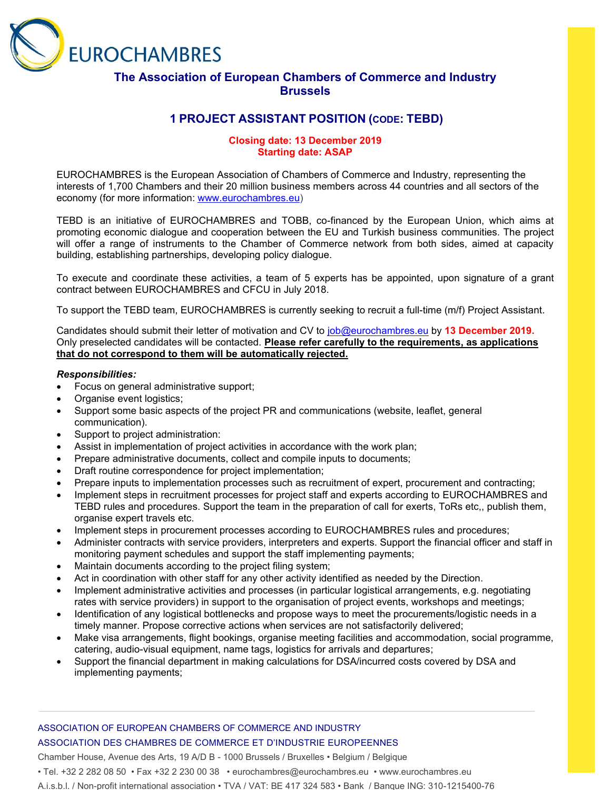

# **The Association of European Chambers of Commerce and Industry Brussels**

# **1 PROJECT ASSISTANT POSITION (CODE: TEBD)**

### **Closing date: 13 December 2019 Starting date: ASAP**

EUROCHAMBRES is the European Association of Chambers of Commerce and Industry, representing the interests of 1,700 Chambers and their 20 million business members across 44 countries and all sectors of the economy (for more information: [www.eurochambres.eu\)](http://www.eurochambres.eu/)

TEBD is an initiative of EUROCHAMBRES and TOBB, co-financed by the European Union, which aims at promoting economic dialogue and cooperation between the EU and Turkish business communities. The project will offer a range of instruments to the Chamber of Commerce network from both sides, aimed at capacity building, establishing partnerships, developing policy dialogue.

To execute and coordinate these activities, a team of 5 experts has be appointed, upon signature of a grant contract between EUROCHAMBRES and CFCU in July 2018.

To support the TEBD team, EUROCHAMBRES is currently seeking to recruit a full-time (m/f) Project Assistant.

Candidates should submit their letter of motivation and CV to [job@eurochambres.eu](mailto:job@eurochambres.eu) by **13 December 2019.** Only preselected candidates will be contacted. **Please refer carefully to the requirements, as applications that do not correspond to them will be automatically rejected.**

#### *Responsibilities:*

- Focus on general administrative support;
- Organise event logistics;
- Support some basic aspects of the project PR and communications (website, leaflet, general communication).
- Support to project administration:
- Assist in implementation of project activities in accordance with the work plan;
- Prepare administrative documents, collect and compile inputs to documents;
- Draft routine correspondence for project implementation;
- Prepare inputs to implementation processes such as recruitment of expert, procurement and contracting;
- Implement steps in recruitment processes for project staff and experts according to EUROCHAMBRES and TEBD rules and procedures. Support the team in the preparation of call for exerts, ToRs etc,, publish them, organise expert travels etc.
- Implement steps in procurement processes according to EUROCHAMBRES rules and procedures;
- Administer contracts with service providers, interpreters and experts. Support the financial officer and staff in monitoring payment schedules and support the staff implementing payments;
- Maintain documents according to the project filing system;
- Act in coordination with other staff for any other activity identified as needed by the Direction.
- Implement administrative activities and processes (in particular logistical arrangements, e.g. negotiating rates with service providers) in support to the organisation of project events, workshops and meetings;
- Identification of any logistical bottlenecks and propose ways to meet the procurements/logistic needs in a timely manner. Propose corrective actions when services are not satisfactorily delivered;
- Make visa arrangements, flight bookings, organise meeting facilities and accommodation, social programme, catering, audio-visual equipment, name tags, logistics for arrivals and departures;
- Support the financial department in making calculations for DSA/incurred costs covered by DSA and implementing payments;

# ASSOCIATION OF EUROPEAN CHAMBERS OF COMMERCE AND INDUSTRY ASSOCIATION DES CHAMBRES DE COMMERCE ET D'INDUSTRIE EUROPEENNES

Chamber House, Avenue des Arts, 19 A/D B - 1000 Brussels / Bruxelles • Belgium / Belgique

• Tel. +32 2 282 08 50 • Fax +32 2 230 00 38 • eurochambres@eurochambres.eu • www.eurochambres.eu

A.i.s.b.l. / Non-profit international association • TVA / VAT: BE 417 324 583 • Bank / Banque ING: 310-1215400-76